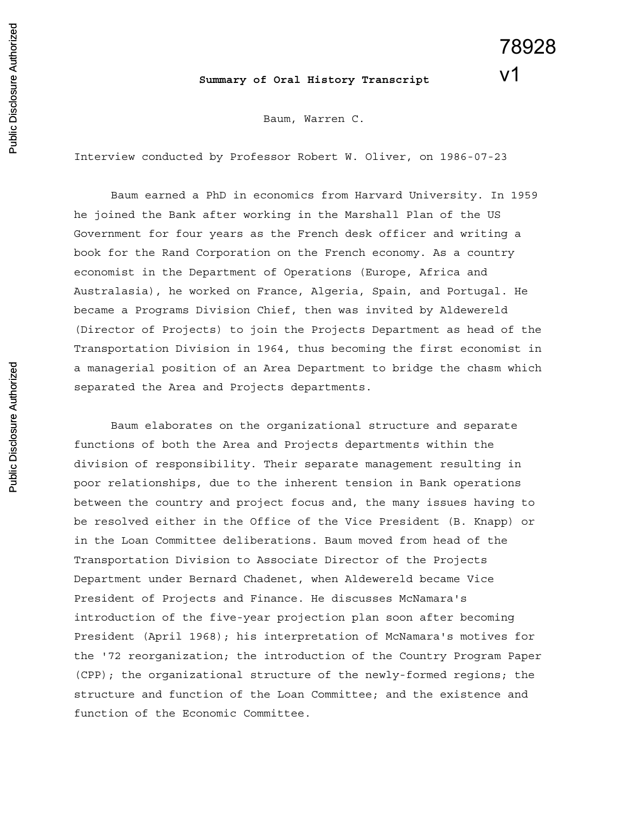## **Summary of Oral History Transcript**

78928

v1

Baum, Warren C.

Interview conducted by Professor Robert W. Oliver, on 1986-07-23

Baum earned a PhD in economics from Harvard University. In 1959 he joined the Bank after working in the Marshall Plan of the US Government for four years as the French desk officer and writing a book for the Rand Corporation on the French economy. As a country economist in the Department of Operations (Europe, Africa and Australasia), he worked on France, Algeria, Spain, and Portugal. He became a Programs Division Chief, then was invited by Aldewereld (Director of Projects) to join the Projects Department as head of the Transportation Division in 1964, thus becoming the first economist in a managerial position of an Area Department to bridge the chasm which separated the Area and Projects departments.

Baum elaborates on the organizational structure and separate functions of both the Area and Projects departments within the division of responsibility. Their separate management resulting in poor relationships, due to the inherent tension in Bank operations between the country and project focus and, the many issues having to be resolved either in the Office of the Vice President (B. Knapp) or in the Loan Committee deliberations. Baum moved from head of the Transportation Division to Associate Director of the Projects Department under Bernard Chadenet, when Aldewereld became Vice President of Projects and Finance. He discusses McNamara's introduction of the five-year projection plan soon after becoming President (April 1968); his interpretation of McNamara's motives for the '72 reorganization; the introduction of the Country Program Paper (CPP); the organizational structure of the newly-formed regions; the structure and function of the Loan Committee; and the existence and function of the Economic Committee.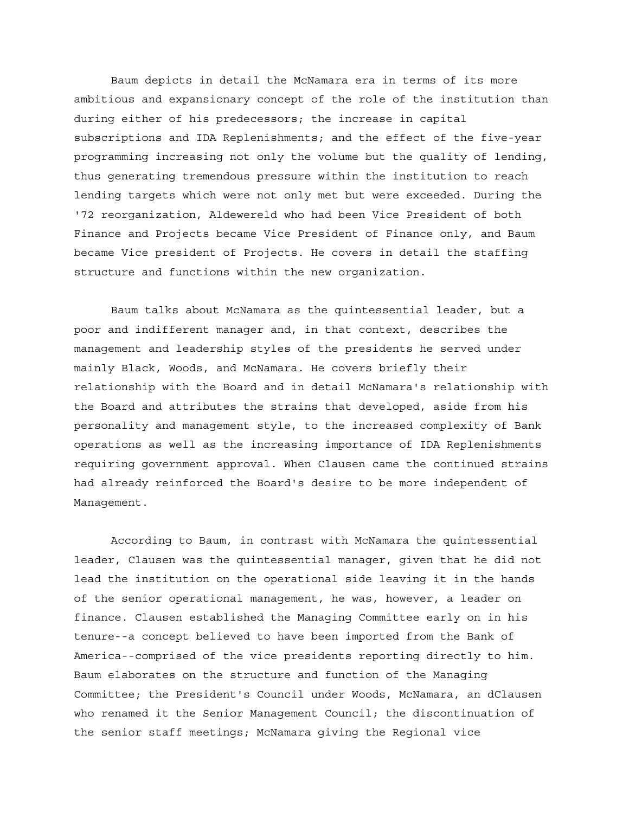Baum depicts in detail the McNamara era in terms of its more ambitious and expansionary concept of the role of the institution than during either of his predecessors; the increase in capital subscriptions and IDA Replenishments; and the effect of the five-year programming increasing not only the volume but the quality of lending, thus generating tremendous pressure within the institution to reach lending targets which were not only met but were exceeded. During the '72 reorganization, Aldewereld who had been Vice President of both Finance and Projects became Vice President of Finance only, and Baum became Vice president of Projects. He covers in detail the staffing structure and functions within the new organization.

Baum talks about McNamara as the quintessential leader, but a poor and indifferent manager and, in that context, describes the management and leadership styles of the presidents he served under mainly Black, Woods, and McNamara. He covers briefly their relationship with the Board and in detail McNamara's relationship with the Board and attributes the strains that developed, aside from his personality and management style, to the increased complexity of Bank operations as well as the increasing importance of IDA Replenishments requiring government approval. When Clausen came the continued strains had already reinforced the Board's desire to be more independent of Management.

According to Baum, in contrast with McNamara the quintessential leader, Clausen was the quintessential manager, given that he did not lead the institution on the operational side leaving it in the hands of the senior operational management, he was, however, a leader on finance. Clausen established the Managing Committee early on in his tenure--a concept believed to have been imported from the Bank of America--comprised of the vice presidents reporting directly to him. Baum elaborates on the structure and function of the Managing Committee; the President's Council under Woods, McNamara, an dClausen who renamed it the Senior Management Council; the discontinuation of the senior staff meetings; McNamara giving the Regional vice